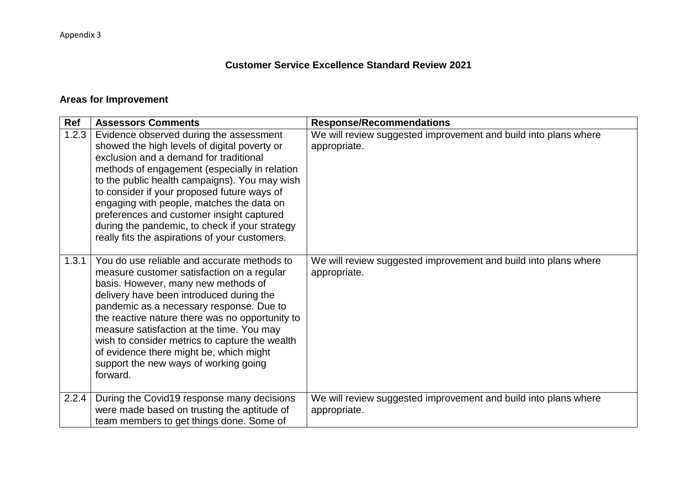## **Customer Service Excellence Standard Review 2021**

## **Areas for Improvement**

| Ref   | <b>Assessors Comments</b>                                                                                                                                                                                                                                                                                                                                                                                                                                                        | <b>Response/Recommendations</b>                                                 |
|-------|----------------------------------------------------------------------------------------------------------------------------------------------------------------------------------------------------------------------------------------------------------------------------------------------------------------------------------------------------------------------------------------------------------------------------------------------------------------------------------|---------------------------------------------------------------------------------|
| 1.2.3 | Evidence observed during the assessment<br>showed the high levels of digital poverty or<br>exclusion and a demand for traditional<br>methods of engagement (especially in relation<br>to the public health campaigns). You may wish<br>to consider if your proposed future ways of<br>engaging with people, matches the data on<br>preferences and customer insight captured<br>during the pandemic, to check if your strategy<br>really fits the aspirations of your customers. | We will review suggested improvement and build into plans where<br>appropriate. |
| 1.3.1 | You do use reliable and accurate methods to<br>measure customer satisfaction on a regular<br>basis. However, many new methods of<br>delivery have been introduced during the<br>pandemic as a necessary response. Due to<br>the reactive nature there was no opportunity to<br>measure satisfaction at the time. You may<br>wish to consider metrics to capture the wealth<br>of evidence there might be, which might<br>support the new ways of working going<br>forward.       | We will review suggested improvement and build into plans where<br>appropriate. |
| 2.2.4 | During the Covid19 response many decisions                                                                                                                                                                                                                                                                                                                                                                                                                                       | We will review suggested improvement and build into plans where                 |
|       | were made based on trusting the aptitude of<br>team members to get things done. Some of                                                                                                                                                                                                                                                                                                                                                                                          | appropriate.                                                                    |